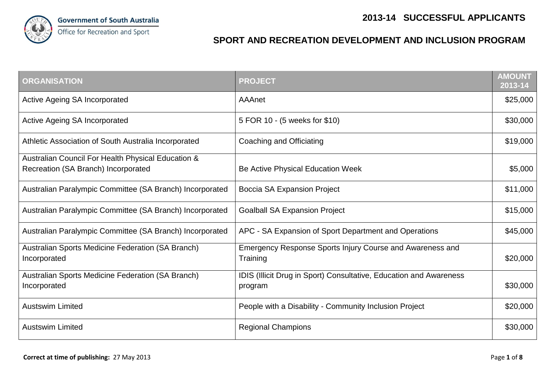

## **SPORT AND RECREATION DEVELOPMENT AND INCLUSION PROGRAM**

| <b>ORGANISATION</b>                                                                       | <b>PROJECT</b>                                                                | <b>AMOUNT</b><br>2013-14 |
|-------------------------------------------------------------------------------------------|-------------------------------------------------------------------------------|--------------------------|
| Active Ageing SA Incorporated                                                             | AAAnet                                                                        | \$25,000                 |
| Active Ageing SA Incorporated                                                             | 5 FOR 10 - (5 weeks for \$10)                                                 | \$30,000                 |
| Athletic Association of South Australia Incorporated                                      | Coaching and Officiating                                                      | \$19,000                 |
| Australian Council For Health Physical Education &<br>Recreation (SA Branch) Incorporated | Be Active Physical Education Week                                             | \$5,000                  |
| Australian Paralympic Committee (SA Branch) Incorporated                                  | Boccia SA Expansion Project                                                   | \$11,000                 |
| Australian Paralympic Committee (SA Branch) Incorporated                                  | <b>Goalball SA Expansion Project</b>                                          | \$15,000                 |
| Australian Paralympic Committee (SA Branch) Incorporated                                  | APC - SA Expansion of Sport Department and Operations                         | \$45,000                 |
| Australian Sports Medicine Federation (SA Branch)<br>Incorporated                         | Emergency Response Sports Injury Course and Awareness and<br>Training         | \$20,000                 |
| Australian Sports Medicine Federation (SA Branch)<br>Incorporated                         | IDIS (Illicit Drug in Sport) Consultative, Education and Awareness<br>program | \$30,000                 |
| <b>Austswim Limited</b>                                                                   | People with a Disability - Community Inclusion Project                        | \$20,000                 |
| <b>Austswim Limited</b>                                                                   | <b>Regional Champions</b>                                                     | \$30,000                 |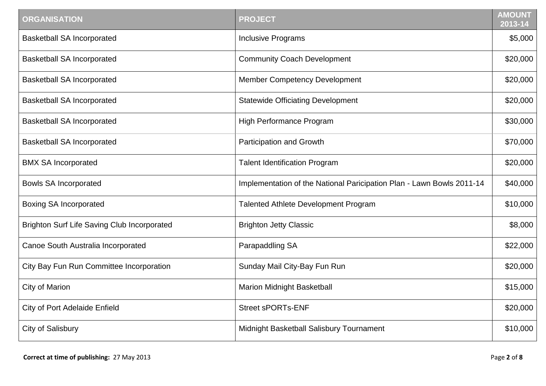| <b>ORGANISATION</b>                                | <b>PROJECT</b>                                                        | <b>AMOUNT</b><br>2013-14 |
|----------------------------------------------------|-----------------------------------------------------------------------|--------------------------|
| <b>Basketball SA Incorporated</b>                  | <b>Inclusive Programs</b>                                             | \$5,000                  |
| <b>Basketball SA Incorporated</b>                  | <b>Community Coach Development</b>                                    | \$20,000                 |
| <b>Basketball SA Incorporated</b>                  | Member Competency Development                                         | \$20,000                 |
| <b>Basketball SA Incorporated</b>                  | <b>Statewide Officiating Development</b>                              | \$20,000                 |
| <b>Basketball SA Incorporated</b>                  | High Performance Program                                              | \$30,000                 |
| <b>Basketball SA Incorporated</b>                  | Participation and Growth                                              | \$70,000                 |
| <b>BMX SA Incorporated</b>                         | <b>Talent Identification Program</b>                                  | \$20,000                 |
| <b>Bowls SA Incorporated</b>                       | Implementation of the National Paricipation Plan - Lawn Bowls 2011-14 | \$40,000                 |
| <b>Boxing SA Incorporated</b>                      | <b>Talented Athlete Development Program</b>                           | \$10,000                 |
| <b>Brighton Surf Life Saving Club Incorporated</b> | <b>Brighton Jetty Classic</b>                                         | \$8,000                  |
| Canoe South Australia Incorporated                 | Parapaddling SA                                                       | \$22,000                 |
| City Bay Fun Run Committee Incorporation           | Sunday Mail City-Bay Fun Run                                          | \$20,000                 |
| City of Marion                                     | <b>Marion Midnight Basketball</b>                                     | \$15,000                 |
| <b>City of Port Adelaide Enfield</b>               | <b>Street sPORTs-ENF</b>                                              | \$20,000                 |
| City of Salisbury                                  | Midnight Basketball Salisbury Tournament                              | \$10,000                 |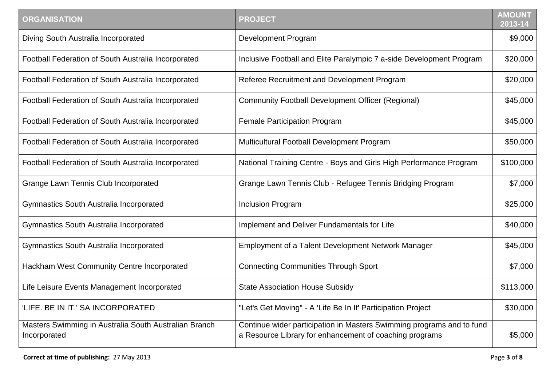| <b>ORGANISATION</b>                                                   | <b>PROJECT</b>                                                                                                                   | <b>AMOUNT</b><br>$2013 - 14$ |
|-----------------------------------------------------------------------|----------------------------------------------------------------------------------------------------------------------------------|------------------------------|
| Diving South Australia Incorporated                                   | <b>Development Program</b>                                                                                                       | \$9,000                      |
| Football Federation of South Australia Incorporated                   | Inclusive Football and Elite Paralympic 7 a-side Development Program                                                             | \$20,000                     |
| Football Federation of South Australia Incorporated                   | Referee Recruitment and Development Program                                                                                      | \$20,000                     |
| Football Federation of South Australia Incorporated                   | <b>Community Football Development Officer (Regional)</b>                                                                         | \$45,000                     |
| Football Federation of South Australia Incorporated                   | <b>Female Participation Program</b>                                                                                              | \$45,000                     |
| Football Federation of South Australia Incorporated                   | Multicultural Football Development Program                                                                                       | \$50,000                     |
| Football Federation of South Australia Incorporated                   | National Training Centre - Boys and Girls High Performance Program                                                               | \$100,000                    |
| <b>Grange Lawn Tennis Club Incorporated</b>                           | Grange Lawn Tennis Club - Refugee Tennis Bridging Program                                                                        | \$7,000                      |
| Gymnastics South Australia Incorporated                               | <b>Inclusion Program</b>                                                                                                         | \$25,000                     |
| <b>Gymnastics South Australia Incorporated</b>                        | Implement and Deliver Fundamentals for Life                                                                                      | \$40,000                     |
| <b>Gymnastics South Australia Incorporated</b>                        | Employment of a Talent Development Network Manager                                                                               | \$45,000                     |
| Hackham West Community Centre Incorporated                            | <b>Connecting Communities Through Sport</b>                                                                                      | \$7,000                      |
| Life Leisure Events Management Incorporated                           | <b>State Association House Subsidy</b>                                                                                           | \$113,000                    |
| 'LIFE. BE IN IT.' SA INCORPORATED                                     | "Let's Get Moving" - A 'Life Be In It' Participation Project                                                                     | \$30,000                     |
| Masters Swimming in Australia South Australian Branch<br>Incorporated | Continue wider participation in Masters Swimming programs and to fund<br>a Resource Library for enhancement of coaching programs | \$5,000                      |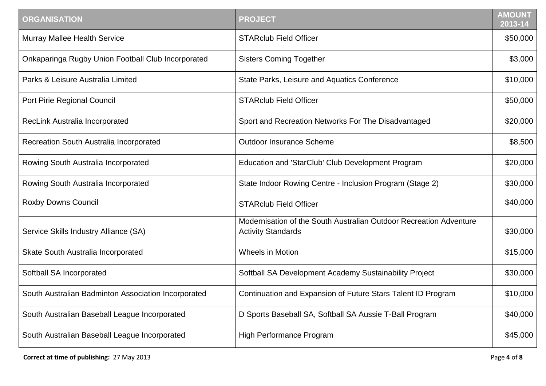| <b>ORGANISATION</b>                                 | <b>PROJECT</b>                                                                                  | <b>AMOUNT</b><br>2013-14 |
|-----------------------------------------------------|-------------------------------------------------------------------------------------------------|--------------------------|
| <b>Murray Mallee Health Service</b>                 | <b>STARclub Field Officer</b>                                                                   | \$50,000                 |
| Onkaparinga Rugby Union Football Club Incorporated  | <b>Sisters Coming Together</b>                                                                  | \$3,000                  |
| Parks & Leisure Australia Limited                   | State Parks, Leisure and Aquatics Conference                                                    | \$10,000                 |
| Port Pirie Regional Council                         | <b>STARclub Field Officer</b>                                                                   | \$50,000                 |
| RecLink Australia Incorporated                      | Sport and Recreation Networks For The Disadvantaged                                             | \$20,000                 |
| Recreation South Australia Incorporated             | <b>Outdoor Insurance Scheme</b>                                                                 | \$8,500                  |
| Rowing South Australia Incorporated                 | Education and 'StarClub' Club Development Program                                               | \$20,000                 |
| Rowing South Australia Incorporated                 | State Indoor Rowing Centre - Inclusion Program (Stage 2)                                        | \$30,000                 |
| <b>Roxby Downs Council</b>                          | <b>STARclub Field Officer</b>                                                                   | \$40,000                 |
| Service Skills Industry Alliance (SA)               | Modernisation of the South Australian Outdoor Recreation Adventure<br><b>Activity Standards</b> | \$30,000                 |
| Skate South Australia Incorporated                  | <b>Wheels in Motion</b>                                                                         | \$15,000                 |
| Softball SA Incorporated                            | Softball SA Development Academy Sustainability Project                                          | \$30,000                 |
| South Australian Badminton Association Incorporated | Continuation and Expansion of Future Stars Talent ID Program                                    | \$10,000                 |
| South Australian Baseball League Incorporated       | D Sports Baseball SA, Softball SA Aussie T-Ball Program                                         | \$40,000                 |
| South Australian Baseball League Incorporated       | High Performance Program                                                                        | \$45,000                 |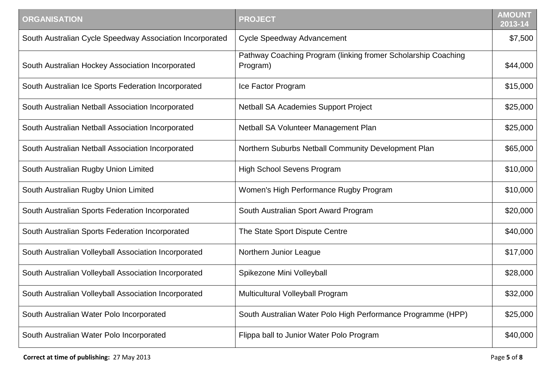| <b>ORGANISATION</b>                                      | <b>PROJECT</b>                                                            | <b>AMOUNT</b><br>2013-14 |
|----------------------------------------------------------|---------------------------------------------------------------------------|--------------------------|
| South Australian Cycle Speedway Association Incorporated | <b>Cycle Speedway Advancement</b>                                         | \$7,500                  |
| South Australian Hockey Association Incorporated         | Pathway Coaching Program (linking fromer Scholarship Coaching<br>Program) | \$44,000                 |
| South Australian Ice Sports Federation Incorporated      | Ice Factor Program                                                        | \$15,000                 |
| South Australian Netball Association Incorporated        | <b>Netball SA Academies Support Project</b>                               | \$25,000                 |
| South Australian Netball Association Incorporated        | Netball SA Volunteer Management Plan                                      | \$25,000                 |
| South Australian Netball Association Incorporated        | Northern Suburbs Netball Community Development Plan                       | \$65,000                 |
| South Australian Rugby Union Limited                     | <b>High School Sevens Program</b>                                         | \$10,000                 |
| South Australian Rugby Union Limited                     | Women's High Performance Rugby Program                                    | \$10,000                 |
| South Australian Sports Federation Incorporated          | South Australian Sport Award Program                                      | \$20,000                 |
| South Australian Sports Federation Incorporated          | The State Sport Dispute Centre                                            | \$40,000                 |
| South Australian Volleyball Association Incorporated     | Northern Junior League                                                    | \$17,000                 |
| South Australian Volleyball Association Incorporated     | Spikezone Mini Volleyball                                                 | \$28,000                 |
| South Australian Volleyball Association Incorporated     | Multicultural Volleyball Program                                          | \$32,000                 |
| South Australian Water Polo Incorporated                 | South Australian Water Polo High Performance Programme (HPP)              | \$25,000                 |
| South Australian Water Polo Incorporated                 | Flippa ball to Junior Water Polo Program                                  | \$40,000                 |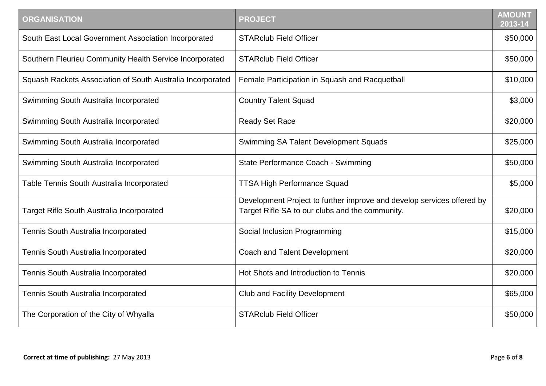| <b>ORGANISATION</b>                                        | <b>PROJECT</b>                                                                                                            | <b>AMOUNT</b><br>2013-14 |
|------------------------------------------------------------|---------------------------------------------------------------------------------------------------------------------------|--------------------------|
| South East Local Government Association Incorporated       | <b>STARclub Field Officer</b>                                                                                             | \$50,000                 |
| Southern Fleurieu Community Health Service Incorporated    | <b>STARclub Field Officer</b>                                                                                             | \$50,000                 |
| Squash Rackets Association of South Australia Incorporated | Female Participation in Squash and Racquetball                                                                            | \$10,000                 |
| Swimming South Australia Incorporated                      | <b>Country Talent Squad</b>                                                                                               | \$3,000                  |
| Swimming South Australia Incorporated                      | <b>Ready Set Race</b>                                                                                                     | \$20,000                 |
| Swimming South Australia Incorporated                      | Swimming SA Talent Development Squads                                                                                     | \$25,000                 |
| Swimming South Australia Incorporated                      | State Performance Coach - Swimming                                                                                        | \$50,000                 |
| Table Tennis South Australia Incorporated                  | <b>TTSA High Performance Squad</b>                                                                                        | \$5,000                  |
| <b>Target Rifle South Australia Incorporated</b>           | Development Project to further improve and develop services offered by<br>Target Rifle SA to our clubs and the community. | \$20,000                 |
| Tennis South Australia Incorporated                        | Social Inclusion Programming                                                                                              | \$15,000                 |
| Tennis South Australia Incorporated                        | Coach and Talent Development                                                                                              | \$20,000                 |
| Tennis South Australia Incorporated                        | Hot Shots and Introduction to Tennis                                                                                      | \$20,000                 |
| Tennis South Australia Incorporated                        | <b>Club and Facility Development</b>                                                                                      | \$65,000                 |
| The Corporation of the City of Whyalla                     | <b>STARclub Field Officer</b>                                                                                             | \$50,000                 |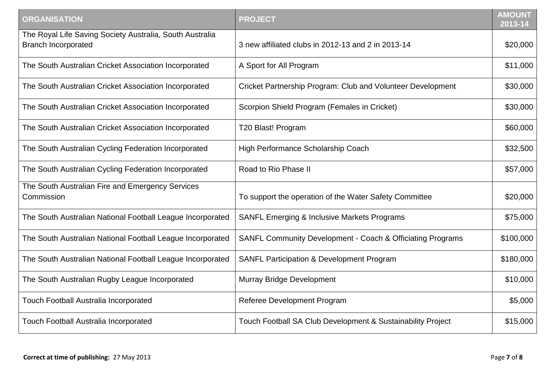| <b>ORGANISATION</b>                                                                    | <b>PROJECT</b>                                                        | <b>AMOUNT</b><br>2013-14 |
|----------------------------------------------------------------------------------------|-----------------------------------------------------------------------|--------------------------|
| The Royal Life Saving Society Australia, South Australia<br><b>Branch Incorporated</b> | 3 new affiliated clubs in 2012-13 and 2 in 2013-14                    | \$20,000                 |
| The South Australian Cricket Association Incorporated                                  | A Sport for All Program                                               | \$11,000                 |
| The South Australian Cricket Association Incorporated                                  | Cricket Partnership Program: Club and Volunteer Development           | \$30,000                 |
| The South Australian Cricket Association Incorporated                                  | Scorpion Shield Program (Females in Cricket)                          | \$30,000                 |
| The South Australian Cricket Association Incorporated                                  | T20 Blast! Program                                                    | \$60,000                 |
| The South Australian Cycling Federation Incorporated                                   | High Performance Scholarship Coach                                    | \$32,500                 |
| The South Australian Cycling Federation Incorporated                                   | Road to Rio Phase II                                                  | \$57,000                 |
| The South Australian Fire and Emergency Services<br>Commission                         | To support the operation of the Water Safety Committee                | \$20,000                 |
| The South Australian National Football League Incorporated                             | <b>SANFL Emerging &amp; Inclusive Markets Programs</b>                | \$75,000                 |
| The South Australian National Football League Incorporated                             | <b>SANFL Community Development - Coach &amp; Officiating Programs</b> | \$100,000                |
| The South Australian National Football League Incorporated                             | SANFL Participation & Development Program                             | \$180,000                |
| The South Australian Rugby League Incorporated                                         | Murray Bridge Development                                             | \$10,000                 |
| <b>Touch Football Australia Incorporated</b>                                           | Referee Development Program                                           | \$5,000                  |
| <b>Touch Football Australia Incorporated</b>                                           | Touch Football SA Club Development & Sustainability Project           | \$15,000                 |